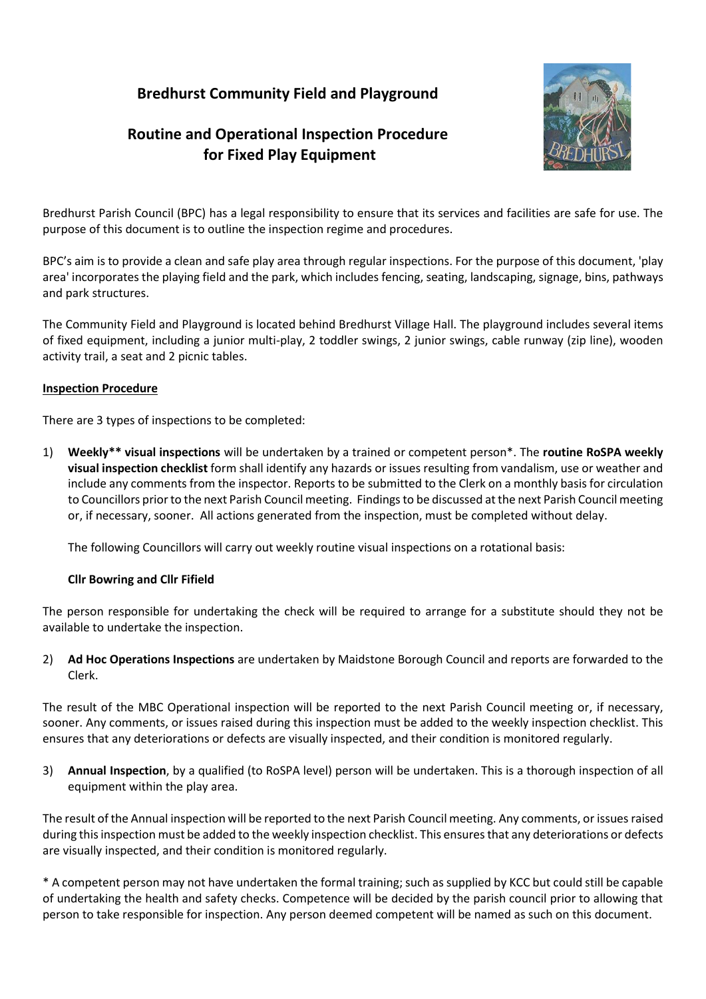## **Bredhurst Community Field and Playground**

# **Routine and Operational Inspection Procedure for Fixed Play Equipment**



Bredhurst Parish Council (BPC) has a legal responsibility to ensure that its services and facilities are safe for use. The purpose of this document is to outline the inspection regime and procedures.

BPC's aim is to provide a clean and safe play area through regular inspections. For the purpose of this document, 'play area' incorporates the playing field and the park, which includes fencing, seating, landscaping, signage, bins, pathways and park structures.

The Community Field and Playground is located behind Bredhurst Village Hall. The playground includes several items of fixed equipment, including a junior multi-play, 2 toddler swings, 2 junior swings, cable runway (zip line), wooden activity trail, a seat and 2 picnic tables.

### **Inspection Procedure**

There are 3 types of inspections to be completed:

1) **Weekly\*\* visual inspections** will be undertaken by a trained or competent person\*. The **routine RoSPA weekly visual inspection checklist** form shall identify any hazards or issues resulting from vandalism, use or weather and include any comments from the inspector. Reports to be submitted to the Clerk on a monthly basis for circulation to Councillors prior to the next Parish Council meeting. Findings to be discussed at the next Parish Council meeting or, if necessary, sooner. All actions generated from the inspection, must be completed without delay.

The following Councillors will carry out weekly routine visual inspections on a rotational basis:

### **Cllr Bowring and Cllr Fifield**

The person responsible for undertaking the check will be required to arrange for a substitute should they not be available to undertake the inspection.

2) **Ad Hoc Operations Inspections** are undertaken by Maidstone Borough Council and reports are forwarded to the Clerk.

The result of the MBC Operational inspection will be reported to the next Parish Council meeting or, if necessary, sooner. Any comments, or issues raised during this inspection must be added to the weekly inspection checklist. This ensures that any deteriorations or defects are visually inspected, and their condition is monitored regularly.

3) **Annual Inspection**, by a qualified (to RoSPA level) person will be undertaken. This is a thorough inspection of all equipment within the play area.

The result of the Annual inspection will be reported to the next Parish Council meeting. Any comments, or issues raised during this inspection must be added to the weekly inspection checklist. This ensures that any deteriorations or defects are visually inspected, and their condition is monitored regularly.

\* A competent person may not have undertaken the formal training; such as supplied by KCC but could still be capable of undertaking the health and safety checks. Competence will be decided by the parish council prior to allowing that person to take responsible for inspection. Any person deemed competent will be named as such on this document.